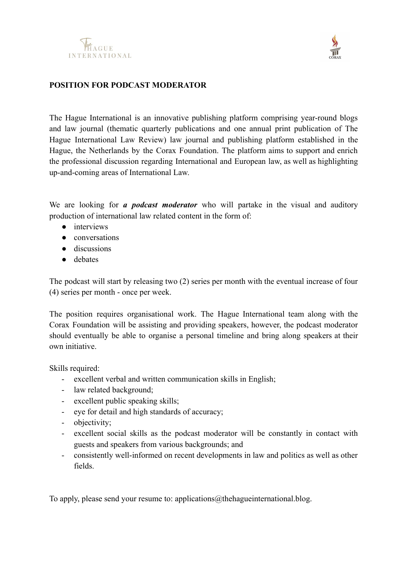



## **POSITION FOR PODCAST MODERATOR**

The Hague International is an innovative publishing platform comprising year-round blogs and law journal (thematic quarterly publications and one annual print publication of The Hague International Law Review) law journal and publishing platform established in the Hague, the Netherlands by the Corax Foundation. The platform aims to support and enrich the professional discussion regarding International and European law, as well as highlighting up-and-coming areas of International Law.

We are looking for *a podcast moderator* who will partake in the visual and auditory production of international law related content in the form of:

- interviews
- conversations
- discussions
- debates

The podcast will start by releasing two (2) series per month with the eventual increase of four (4) series per month - once per week.

The position requires organisational work. The Hague International team along with the Corax Foundation will be assisting and providing speakers, however, the podcast moderator should eventually be able to organise a personal timeline and bring along speakers at their own initiative.

Skills required:

- excellent verbal and written communication skills in English;
- law related background;
- excellent public speaking skills;
- eye for detail and high standards of accuracy;
- objectivity;
- excellent social skills as the podcast moderator will be constantly in contact with guests and speakers from various backgrounds; and
- consistently well-informed on recent developments in law and politics as well as other fields.

To apply, please send your resume to: applications@thehagueinternational.blog.